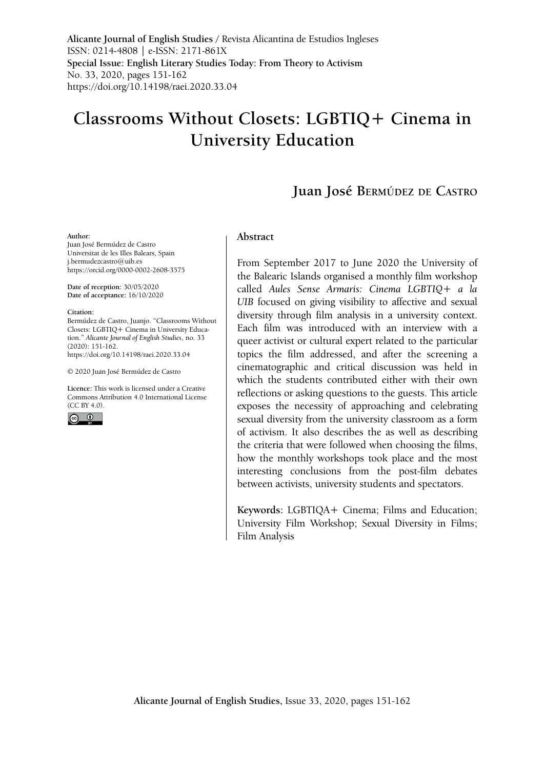**Alicante Journal of English Studies /** Revista Alicantina de Estudios Ingleses ISSN: 0214-4808 | e-ISSN: 2171-861X **Special Issue: English Literary Studies Today: From Theory to Activism** No. 33, 2020, pages 151-162 <https://doi.org/10.14198/raei.2020.33.04>

# **Classrooms Without Closets: LGBTIQ+ Cinema in University Education**

## **Juan José Bermúdez de Castro**

#### **Author:**

Juan José Bermúdez de Castro Universitat de les Illes Balears, Spain j.bermudezcastro@uib.es https://orcid.org/0000-0002-2608-3575

**Date of reception:** 30/05/2020 **Date of acceptance:** 16/10/2020

#### **Citation:**

Bermúdez de Castro, Juanjo. "Classrooms Without Closets: LGBTIQ+ Cinema in University Education." *Alicante Journal of English Studies*, no. 33 (2020): 151-162. <https://doi.org/10.14198/raei.2020.33.04>

© 2020 Juan José Bermúdez de Castro

**Licence:** [This work is licensed under a Creative](https://creativecommons.org/licenses/by/4.0/)  [Commons Attribution 4.0 International License](https://creativecommons.org/licenses/by/4.0/)   $(CC$  BY 4.0).



#### **Abstract**

From September 2017 to June 2020 the University of the Balearic Islands organised a monthly film workshop called *Aules Sense Armaris: Cinema LGBTIQ+ a la UIB* focused on giving visibility to affective and sexual diversity through film analysis in a university context. Each film was introduced with an interview with a queer activist or cultural expert related to the particular topics the film addressed, and after the screening a cinematographic and critical discussion was held in which the students contributed either with their own reflections or asking questions to the guests. This article exposes the necessity of approaching and celebrating sexual diversity from the university classroom as a form of activism. It also describes the as well as describing the criteria that were followed when choosing the films, how the monthly workshops took place and the most interesting conclusions from the post-film debates between activists, university students and spectators.

**Keywords:** LGBTIQA+ Cinema; Films and Education; University Film Workshop; Sexual Diversity in Films; Film Analysis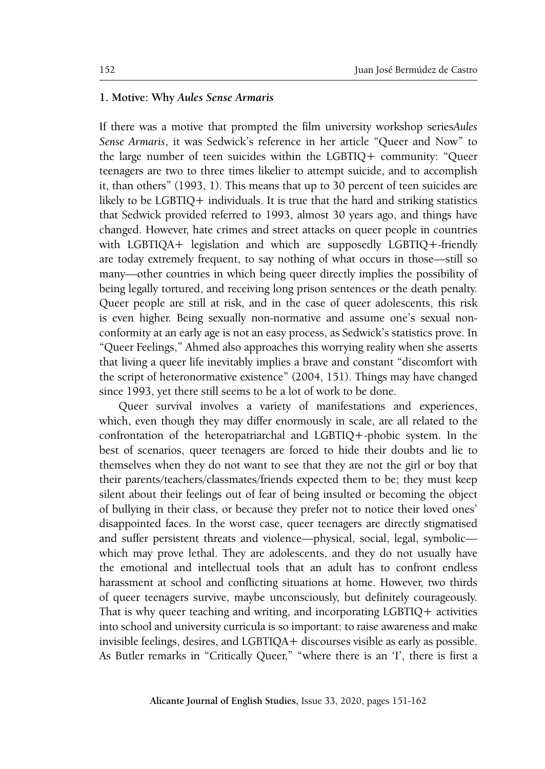### **1. Motive: Why** *Aules Sense Armaris*

If there was a motive that prompted the film university workshop series*Aules Sense Armaris*, it was Sedwick's reference in her article "Queer and Now" to the large number of teen suicides within the LGBTIQ+ community: "Queer teenagers are two to three times likelier to attempt suicide, and to accomplish it, than others" (1993, 1). This means that up to 30 percent of teen suicides are likely to be LGBTIQ+ individuals. It is true that the hard and striking statistics that Sedwick provided referred to 1993, almost 30 years ago, and things have changed. However, hate crimes and street attacks on queer people in countries with LGBTIQA+ legislation and which are supposedly LGBTIQ+-friendly are today extremely frequent, to say nothing of what occurs in those––still so many––other countries in which being queer directly implies the possibility of being legally tortured, and receiving long prison sentences or the death penalty. Queer people are still at risk, and in the case of queer adolescents, this risk is even higher. Being sexually non-normative and assume one's sexual nonconformity at an early age is not an easy process, as Sedwick's statistics prove. In "Queer Feelings," Ahmed also approaches this worrying reality when she asserts that living a queer life inevitably implies a brave and constant "discomfort with the script of heteronormative existence" (2004, 151). Things may have changed since 1993, yet there still seems to be a lot of work to be done.

Queer survival involves a variety of manifestations and experiences, which, even though they may differ enormously in scale, are all related to the confrontation of the heteropatriarchal and LGBTIQ+-phobic system. In the best of scenarios, queer teenagers are forced to hide their doubts and lie to themselves when they do not want to see that they are not the girl or boy that their parents/teachers/classmates/friends expected them to be; they must keep silent about their feelings out of fear of being insulted or becoming the object of bullying in their class, or because they prefer not to notice their loved ones' disappointed faces. In the worst case, queer teenagers are directly stigmatised and suffer persistent threats and violence—physical, social, legal, symbolic which may prove lethal. They are adolescents, and they do not usually have the emotional and intellectual tools that an adult has to confront endless harassment at school and conflicting situations at home. However, two thirds of queer teenagers survive, maybe unconsciously, but definitely courageously. That is why queer teaching and writing, and incorporating LGBTIQ+ activities into school and university curricula is so important: to raise awareness and make invisible feelings, desires, and LGBTIQA+ discourses visible as early as possible. As Butler remarks in "Critically Queer," "where there is an 'I', there is first a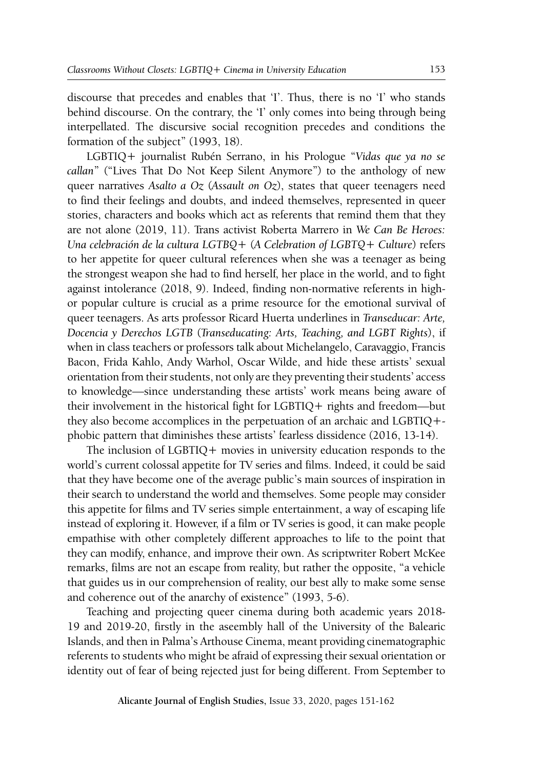discourse that precedes and enables that 'I'. Thus, there is no 'I' who stands behind discourse. On the contrary, the 'I' only comes into being through being interpellated. The discursive social recognition precedes and conditions the formation of the subject" (1993, 18).

LGBTIQ+ journalist Rubén Serrano, in his Prologue "*Vidas que ya no se callan*" ("Lives That Do Not Keep Silent Anymore") to the anthology of new queer narratives *Asalto a Oz* (*Assault on Oz*), states that queer teenagers need to find their feelings and doubts, and indeed themselves, represented in queer stories, characters and books which act as referents that remind them that they are not alone (2019, 11). Trans activist Roberta Marrero in *We Can Be Heroes: Una celebración de la cultura LGTBQ+* (*A Celebration of LGBTQ+ Culture*) refers to her appetite for queer cultural references when she was a teenager as being the strongest weapon she had to find herself, her place in the world, and to fight against intolerance (2018, 9). Indeed, finding non-normative referents in highor popular culture is crucial as a prime resource for the emotional survival of queer teenagers. As arts professor Ricard Huerta underlines in *Transeducar: Arte, Docencia y Derechos LGTB* (*Transeducating: Arts, Teaching, and LGBT Rights*), if when in class teachers or professors talk about Michelangelo, Caravaggio, Francis Bacon, Frida Kahlo, Andy Warhol, Oscar Wilde, and hide these artists' sexual orientation from their students, not only are they preventing their students' access to knowledge—since understanding these artists' work means being aware of their involvement in the historical fight for LGBTIQ+ rights and freedom—but they also become accomplices in the perpetuation of an archaic and LGBTIQ+ phobic pattern that diminishes these artists' fearless dissidence (2016, 13-14).

The inclusion of LGBTIQ+ movies in university education responds to the world's current colossal appetite for TV series and films. Indeed, it could be said that they have become one of the average public's main sources of inspiration in their search to understand the world and themselves. Some people may consider this appetite for films and TV series simple entertainment, a way of escaping life instead of exploring it. However, if a film or TV series is good, it can make people empathise with other completely different approaches to life to the point that they can modify, enhance, and improve their own. As scriptwriter Robert McKee remarks, films are not an escape from reality, but rather the opposite, "a vehicle that guides us in our comprehension of reality, our best ally to make some sense and coherence out of the anarchy of existence" (1993, 5-6).

Teaching and projecting queer cinema during both academic years 2018- 19 and 2019-20, firstly in the aseembly hall of the University of the Balearic Islands, and then in Palma's Arthouse Cinema, meant providing cinematographic referents to students who might be afraid of expressing their sexual orientation or identity out of fear of being rejected just for being different. From September to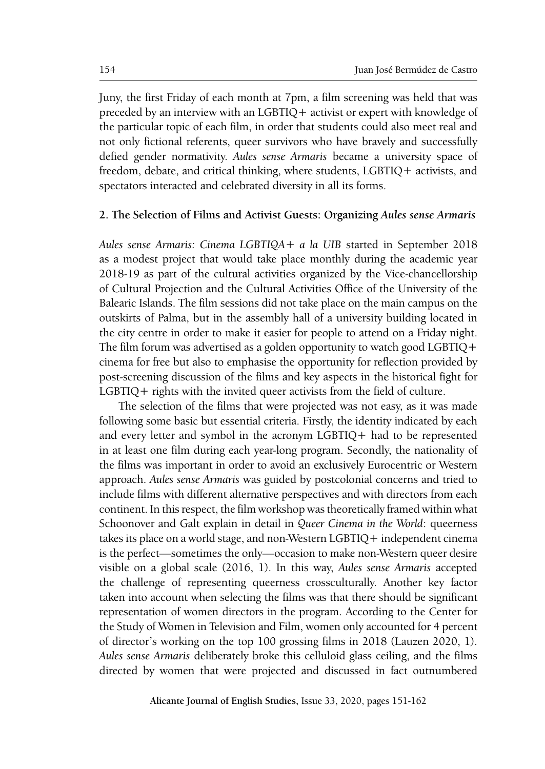Juny, the first Friday of each month at 7pm, a film screening was held that was preceded by an interview with an LGBTIQ+ activist or expert with knowledge of the particular topic of each film, in order that students could also meet real and not only fictional referents, queer survivors who have bravely and successfully defied gender normativity. *Aules sense Armaris* became a university space of freedom, debate, and critical thinking, where students, LGBTIQ+ activists, and spectators interacted and celebrated diversity in all its forms.

#### **2. The Selection of Films and Activist Guests: Organizing** *Aules sense Armaris*

*Aules sense Armaris: Cinema LGBTIQA+ a la UIB* started in September 2018 as a modest project that would take place monthly during the academic year 2018-19 as part of the cultural activities organized by the Vice-chancellorship of Cultural Projection and the Cultural Activities Office of the University of the Balearic Islands. The film sessions did not take place on the main campus on the outskirts of Palma, but in the assembly hall of a university building located in the city centre in order to make it easier for people to attend on a Friday night. The film forum was advertised as a golden opportunity to watch good LGBTIQ+ cinema for free but also to emphasise the opportunity for reflection provided by post-screening discussion of the films and key aspects in the historical fight for LGBTIQ+ rights with the invited queer activists from the field of culture.

The selection of the films that were projected was not easy, as it was made following some basic but essential criteria. Firstly, the identity indicated by each and every letter and symbol in the acronym LGBTIQ+ had to be represented in at least one film during each year-long program. Secondly, the nationality of the films was important in order to avoid an exclusively Eurocentric or Western approach. *Aules sense Armaris* was guided by postcolonial concerns and tried to include films with different alternative perspectives and with directors from each continent. In this respect, the film workshop was theoretically framed within what Schoonover and Galt explain in detail in *Queer Cinema in the World*: queerness takes its place on a world stage, and non-Western LGBTIQ+ independent cinema is the perfect—sometimes the only—occasion to make non-Western queer desire visible on a global scale (2016, 1). In this way, *Aules sense Armaris* accepted the challenge of representing queerness crossculturally. Another key factor taken into account when selecting the films was that there should be significant representation of women directors in the program. According to the Center for the Study of Women in Television and Film, women only accounted for 4 percent of director's working on the top 100 grossing films in 2018 (Lauzen 2020, 1). *Aules sense Armaris* deliberately broke this celluloid glass ceiling, and the films directed by women that were projected and discussed in fact outnumbered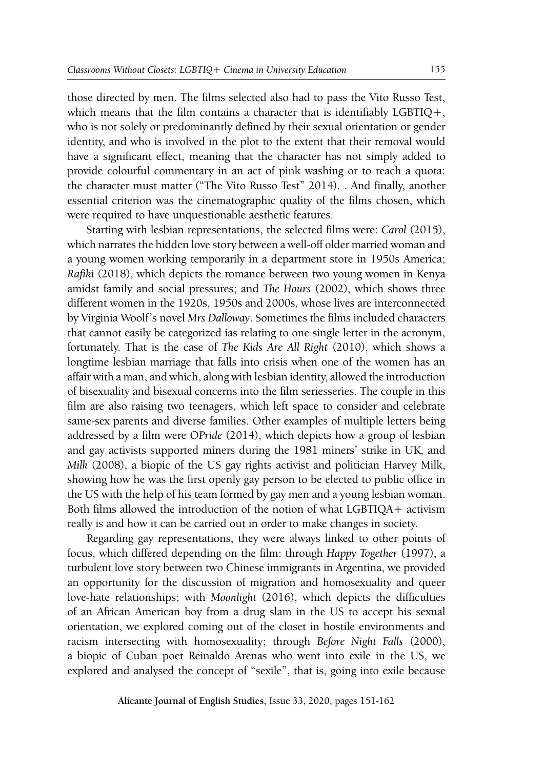those directed by men. The films selected also had to pass the Vito Russo Test, which means that the film contains a character that is identifiably LGBTIQ+, who is not solely or predominantly defined by their sexual orientation or gender identity, and who is involved in the plot to the extent that their removal would have a significant effect, meaning that the character has not simply added to provide colourful commentary in an act of pink washing or to reach a quota: the character must matter ("The Vito Russo Test" 2014). . And finally, another essential criterion was the cinematographic quality of the films chosen, which were required to have unquestionable aesthetic features.

Starting with lesbian representations, the selected films were: *Carol* (2015), which narrates the hidden love story between a well-off older married woman and a young women working temporarily in a department store in 1950s America; *Rafiki* (2018), which depicts the romance between two young women in Kenya amidst family and social pressures; and *The Hours* (2002), which shows three different women in the 1920s, 1950s and 2000s, whose lives are interconnected by Virginia Woolf's novel *Mrs Dalloway*. Sometimes the films included characters that cannot easily be categorized ias relating to one single letter in the acronym, fortunately. That is the case of *The Kids Are All Right* (2010), which shows a longtime lesbian marriage that falls into crisis when one of the women has an affair with a man, and which, along with lesbian identity, allowed the introduction of bisexuality and bisexual concerns into the film seriesseries. The couple in this film are also raising two teenagers, which left space to consider and celebrate same-sex parents and diverse families. Other examples of multiple letters being addressed by a film were O*Pride* (2014), which depicts how a group of lesbian and gay activists supported miners during the 1981 miners' strike in UK, and *Milk* (2008), a biopic of the US gay rights activist and politician Harvey Milk, showing how he was the first openly gay person to be elected to public office in the US with the help of his team formed by gay men and a young lesbian woman. Both films allowed the introduction of the notion of what LGBTIQA+ activism really is and how it can be carried out in order to make changes in society.

Regarding gay representations, they were always linked to other points of focus, which differed depending on the film: through *Happy Together* (1997), a turbulent love story between two Chinese immigrants in Argentina, we provided an opportunity for the discussion of migration and homosexuality and queer love-hate relationships; with *Moonlight* (2016), which depicts the difficulties of an African American boy from a drug slam in the US to accept his sexual orientation, we explored coming out of the closet in hostile environments and racism intersecting with homosexuality; through *Before Night Falls* (2000), a biopic of Cuban poet Reinaldo Arenas who went into exile in the US, we explored and analysed the concept of "sexile", that is, going into exile because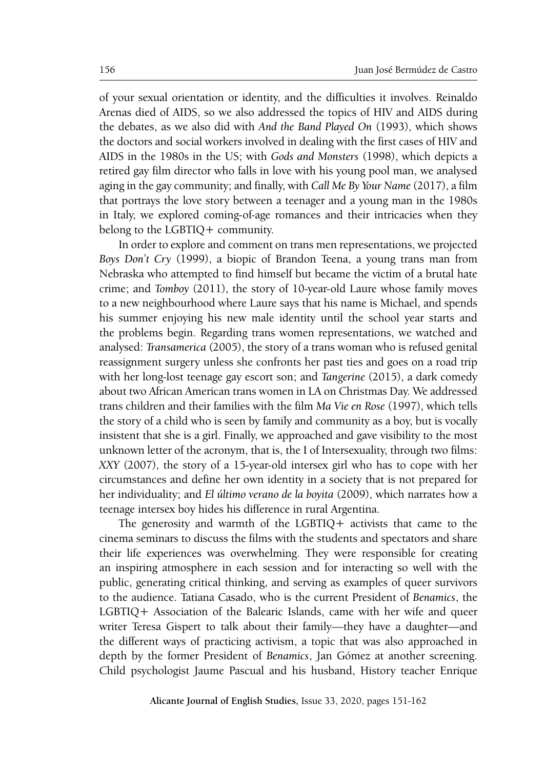of your sexual orientation or identity, and the difficulties it involves. Reinaldo Arenas died of AIDS, so we also addressed the topics of HIV and AIDS during the debates, as we also did with *And the Band Played On* (1993), which shows the doctors and social workers involved in dealing with the first cases of HIV and AIDS in the 1980s in the US; with *Gods and Monsters* (1998), which depicts a retired gay film director who falls in love with his young pool man, we analysed aging in the gay community; and finally, with *Call Me By Your Name* (2017), a film that portrays the love story between a teenager and a young man in the 1980s in Italy, we explored coming-of-age romances and their intricacies when they belong to the LGBTIQ+ community.

In order to explore and comment on trans men representations, we projected *Boys Don't Cry* (1999), a biopic of Brandon Teena, a young trans man from Nebraska who attempted to find himself but became the victim of a brutal hate crime; and *Tomboy* (2011), the story of 10-year-old Laure whose family moves to a new neighbourhood where Laure says that his name is Michael, and spends his summer enjoying his new male identity until the school year starts and the problems begin. Regarding trans women representations, we watched and analysed: *Transamerica* (2005), the story of a trans woman who is refused genital reassignment surgery unless she confronts her past ties and goes on a road trip with her long-lost teenage gay escort son; and *Tangerine* (2015), a dark comedy about two African American trans women in LA on Christmas Day. We addressed trans children and their families with the film *Ma Vie en Rose* (1997), which tells the story of a child who is seen by family and community as a boy, but is vocally insistent that she is a girl. Finally, we approached and gave visibility to the most unknown letter of the acronym, that is, the I of Intersexuality, through two films: *XXY* (2007), the story of a 15-year-old intersex girl who has to cope with her circumstances and define her own identity in a society that is not prepared for her individuality; and *El último verano de la boyita* (2009), which narrates how a teenage intersex boy hides his difference in rural Argentina.

The generosity and warmth of the LGBTIQ+ activists that came to the cinema seminars to discuss the films with the students and spectators and share their life experiences was overwhelming. They were responsible for creating an inspiring atmosphere in each session and for interacting so well with the public, generating critical thinking, and serving as examples of queer survivors to the audience. Tatiana Casado, who is the current President of *Benamics*, the LGBTIQ+ Association of the Balearic Islands, came with her wife and queer writer Teresa Gispert to talk about their family—they have a daughter—and the different ways of practicing activism, a topic that was also approached in depth by the former President of *Benamics*, Jan Gómez at another screening. Child psychologist Jaume Pascual and his husband, History teacher Enrique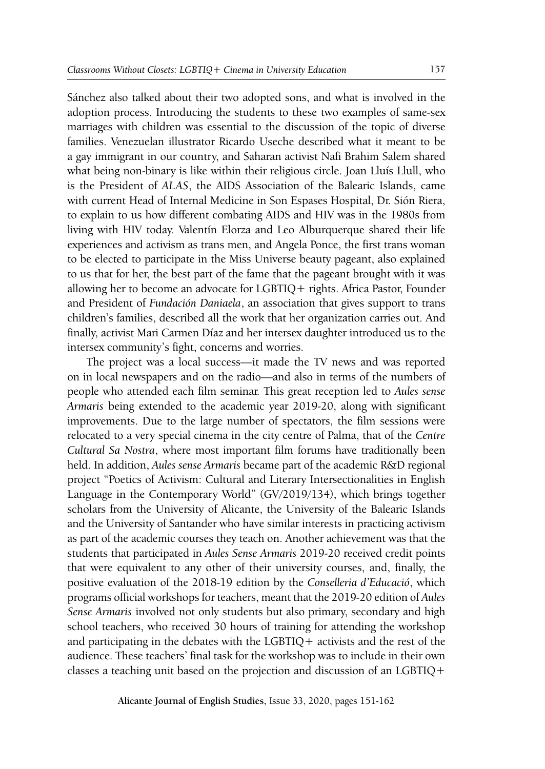Sánchez also talked about their two adopted sons, and what is involved in the adoption process. Introducing the students to these two examples of same-sex marriages with children was essential to the discussion of the topic of diverse families. Venezuelan illustrator Ricardo Useche described what it meant to be a gay immigrant in our country, and Saharan activist Nafi Brahim Salem shared what being non-binary is like within their religious circle. Joan Lluís Llull, who is the President of *ALAS*, the AIDS Association of the Balearic Islands, came with current Head of Internal Medicine in Son Espases Hospital, Dr. Sión Riera, to explain to us how different combating AIDS and HIV was in the 1980s from living with HIV today. Valentín Elorza and Leo Alburquerque shared their life experiences and activism as trans men, and Angela Ponce, the first trans woman to be elected to participate in the Miss Universe beauty pageant, also explained to us that for her, the best part of the fame that the pageant brought with it was allowing her to become an advocate for LGBTIQ+ rights. Africa Pastor, Founder and President of *Fundación Daniaela*, an association that gives support to trans children's families, described all the work that her organization carries out. And finally, activist Mari Carmen Díaz and her intersex daughter introduced us to the intersex community's fight, concerns and worries.

The project was a local success—it made the TV news and was reported on in local newspapers and on the radio––and also in terms of the numbers of people who attended each film seminar. This great reception led to *Aules sense Armaris* being extended to the academic year 2019-20, along with significant improvements. Due to the large number of spectators, the film sessions were relocated to a very special cinema in the city centre of Palma, that of the *Centre Cultural Sa Nostra*, where most important film forums have traditionally been held. In addition, *Aules sense Armaris* became part of the academic R&D regional project "Poetics of Activism: Cultural and Literary Intersectionalities in English Language in the Contemporary World" (GV/2019/134), which brings together scholars from the University of Alicante, the University of the Balearic Islands and the University of Santander who have similar interests in practicing activism as part of the academic courses they teach on. Another achievement was that the students that participated in *Aules Sense Armaris* 2019-20 received credit points that were equivalent to any other of their university courses, and, finally, the positive evaluation of the 2018-19 edition by the *Conselleria d'Educació*, which programs official workshops for teachers, meant that the 2019-20 edition of *Aules Sense Armaris* involved not only students but also primary, secondary and high school teachers, who received 30 hours of training for attending the workshop and participating in the debates with the LGBTIQ+ activists and the rest of the audience. These teachers' final task for the workshop was to include in their own classes a teaching unit based on the projection and discussion of an LGBTIQ+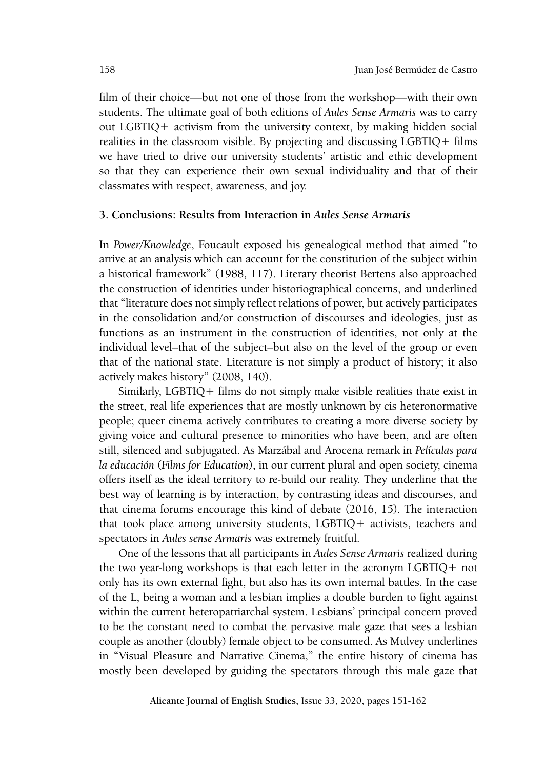film of their choice––but not one of those from the workshop—with their own students. The ultimate goal of both editions of *Aules Sense Armaris* was to carry out LGBTIQ+ activism from the university context, by making hidden social realities in the classroom visible. By projecting and discussing LGBTIQ+ films we have tried to drive our university students' artistic and ethic development so that they can experience their own sexual individuality and that of their classmates with respect, awareness, and joy.

#### **3. Conclusions: Results from Interaction in** *Aules Sense Armaris*

In *Power/Knowledge*, Foucault exposed his genealogical method that aimed "to arrive at an analysis which can account for the constitution of the subject within a historical framework" (1988, 117). Literary theorist Bertens also approached the construction of identities under historiographical concerns, and underlined that "literature does not simply reflect relations of power, but actively participates in the consolidation and/or construction of discourses and ideologies, just as functions as an instrument in the construction of identities, not only at the individual level–that of the subject–but also on the level of the group or even that of the national state. Literature is not simply a product of history; it also actively makes history" (2008, 140).

Similarly, LGBTIQ+ films do not simply make visible realities thate exist in the street, real life experiences that are mostly unknown by cis heteronormative people; queer cinema actively contributes to creating a more diverse society by giving voice and cultural presence to minorities who have been, and are often still, silenced and subjugated. As Marzábal and Arocena remark in *Películas para la educación* (*Films for Education*), in our current plural and open society, cinema offers itself as the ideal territory to re-build our reality. They underline that the best way of learning is by interaction, by contrasting ideas and discourses, and that cinema forums encourage this kind of debate (2016, 15). The interaction that took place among university students, LGBTIQ+ activists, teachers and spectators in *Aules sense Armaris* was extremely fruitful.

One of the lessons that all participants in *Aules Sense Armaris* realized during the two year-long workshops is that each letter in the acronym LGBTIQ+ not only has its own external fight, but also has its own internal battles. In the case of the L, being a woman and a lesbian implies a double burden to fight against within the current heteropatriarchal system. Lesbians' principal concern proved to be the constant need to combat the pervasive male gaze that sees a lesbian couple as another (doubly) female object to be consumed. As Mulvey underlines in "Visual Pleasure and Narrative Cinema," the entire history of cinema has mostly been developed by guiding the spectators through this male gaze that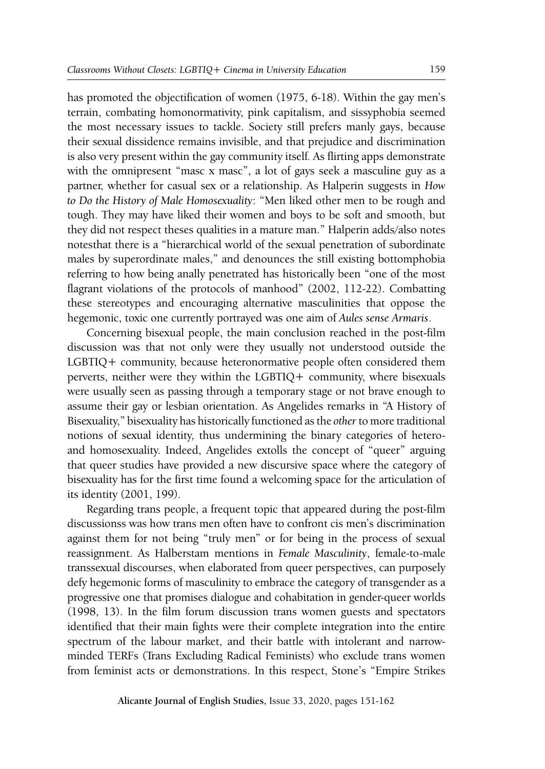has promoted the objectification of women (1975, 6-18). Within the gay men's terrain, combating homonormativity, pink capitalism, and sissyphobia seemed the most necessary issues to tackle. Society still prefers manly gays, because their sexual dissidence remains invisible, and that prejudice and discrimination is also very present within the gay community itself. As flirting apps demonstrate with the omnipresent "masc x masc", a lot of gays seek a masculine guy as a partner, whether for casual sex or a relationship. As Halperin suggests in *How to Do the History of Male Homosexuality*: "Men liked other men to be rough and tough. They may have liked their women and boys to be soft and smooth, but they did not respect theses qualities in a mature man." Halperin adds/also notes notesthat there is a "hierarchical world of the sexual penetration of subordinate males by superordinate males," and denounces the still existing bottomphobia referring to how being anally penetrated has historically been "one of the most flagrant violations of the protocols of manhood" (2002, 112-22). Combatting these stereotypes and encouraging alternative masculinities that oppose the hegemonic, toxic one currently portrayed was one aim of *Aules sense Armaris*.

Concerning bisexual people, the main conclusion reached in the post-film discussion was that not only were they usually not understood outside the LGBTIQ+ community, because heteronormative people often considered them perverts, neither were they within the LGBTIQ+ community, where bisexuals were usually seen as passing through a temporary stage or not brave enough to assume their gay or lesbian orientation. As Angelides remarks in "A History of Bisexuality," bisexuality has historically functioned as the *other* to more traditional notions of sexual identity, thus undermining the binary categories of heteroand homosexuality. Indeed, Angelides extolls the concept of "queer" arguing that queer studies have provided a new discursive space where the category of bisexuality has for the first time found a welcoming space for the articulation of its identity (2001, 199).

Regarding trans people, a frequent topic that appeared during the post-film discussionss was how trans men often have to confront cis men's discrimination against them for not being "truly men" or for being in the process of sexual reassignment. As Halberstam mentions in *Female Masculinity*, female-to-male transsexual discourses, when elaborated from queer perspectives, can purposely defy hegemonic forms of masculinity to embrace the category of transgender as a progressive one that promises dialogue and cohabitation in gender-queer worlds (1998, 13). In the film forum discussion trans women guests and spectators identified that their main fights were their complete integration into the entire spectrum of the labour market, and their battle with intolerant and narrowminded TERFs (Trans Excluding Radical Feminists) who exclude trans women from feminist acts or demonstrations. In this respect, Stone's "Empire Strikes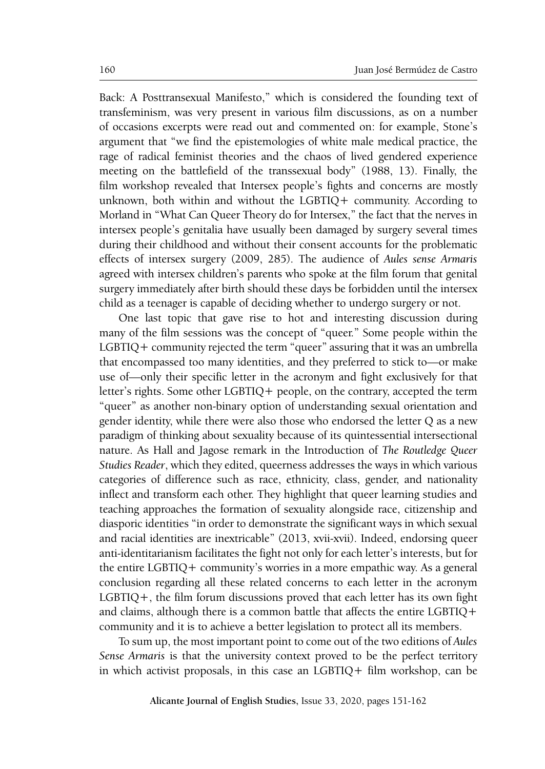Back: A Posttransexual Manifesto," which is considered the founding text of transfeminism, was very present in various film discussions, as on a number of occasions excerpts were read out and commented on: for example, Stone's argument that "we find the epistemologies of white male medical practice, the rage of radical feminist theories and the chaos of lived gendered experience meeting on the battlefield of the transsexual body" (1988, 13). Finally, the film workshop revealed that Intersex people's fights and concerns are mostly unknown, both within and without the LGBTIQ+ community. According to Morland in "What Can Queer Theory do for Intersex," the fact that the nerves in intersex people's genitalia have usually been damaged by surgery several times during their childhood and without their consent accounts for the problematic effects of intersex surgery (2009, 285). The audience of *Aules sense Armaris* agreed with intersex children's parents who spoke at the film forum that genital surgery immediately after birth should these days be forbidden until the intersex child as a teenager is capable of deciding whether to undergo surgery or not.

One last topic that gave rise to hot and interesting discussion during many of the film sessions was the concept of "queer." Some people within the LGBTIQ+ community rejected the term "queer" assuring that it was an umbrella that encompassed too many identities, and they preferred to stick to—or make use of—only their specific letter in the acronym and fight exclusively for that letter's rights. Some other LGBTIQ+ people, on the contrary, accepted the term "queer" as another non-binary option of understanding sexual orientation and gender identity, while there were also those who endorsed the letter Q as a new paradigm of thinking about sexuality because of its quintessential intersectional nature. As Hall and Jagose remark in the Introduction of *The Routledge Queer Studies Reader*, which they edited, queerness addresses the ways in which various categories of difference such as race, ethnicity, class, gender, and nationality inflect and transform each other. They highlight that queer learning studies and teaching approaches the formation of sexuality alongside race, citizenship and diasporic identities "in order to demonstrate the significant ways in which sexual and racial identities are inextricable" (2013, xvii-xvii). Indeed, endorsing queer anti-identitarianism facilitates the fight not only for each letter's interests, but for the entire LGBTIQ+ community's worries in a more empathic way. As a general conclusion regarding all these related concerns to each letter in the acronym LGBTIQ+, the film forum discussions proved that each letter has its own fight and claims, although there is a common battle that affects the entire LGBTIQ+ community and it is to achieve a better legislation to protect all its members.

To sum up, the most important point to come out of the two editions of *Aules Sense Armaris* is that the university context proved to be the perfect territory in which activist proposals, in this case an LGBTIQ+ film workshop, can be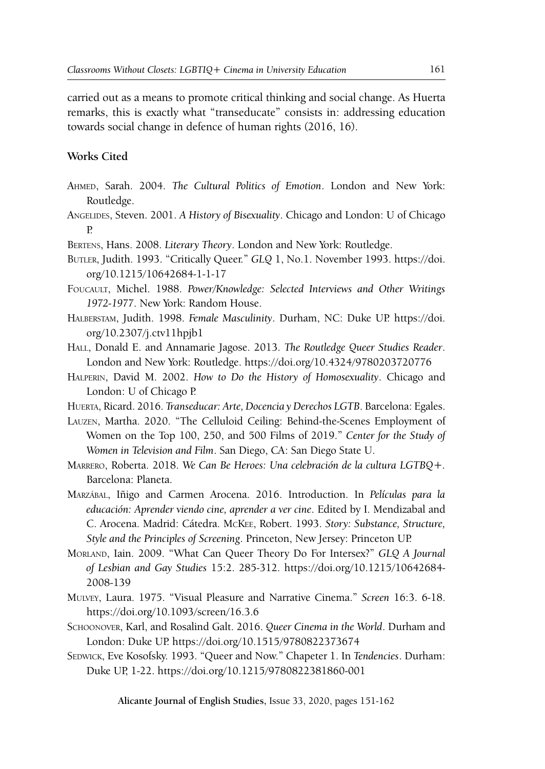carried out as a means to promote critical thinking and social change. As Huerta remarks, this is exactly what "transeducate" consists in: addressing education towards social change in defence of human rights (2016, 16).

## **Works Cited**

- Ahmed, Sarah. 2004. *The Cultural Politics of Emotion*. London and New York: Routledge.
- Angelides, Steven. 2001. *A History of Bisexuality*. Chicago and London: U of Chicago P.
- Bertens, Hans. 2008. *Literary Theory*. London and New York: Routledge.
- Butler, Judith. 1993. "Critically Queer." *GLQ* 1, No.1. November 1993. https://doi. org/10.1215/10642684-1-1-17
- Foucault, Michel. 1988. *Power/Knowledge: Selected Interviews and Other Writings 1972-1977*. New York: Random House.
- Halberstam, Judith. 1998. *Female Masculinity*. Durham, NC: Duke UP. https://doi. org/10.2307/j.ctv11hpjb1
- Hall, Donald E. and Annamarie Jagose. 2013. *The Routledge Queer Studies Reader*. London and New York: Routledge. https://doi.org/10.4324/9780203720776
- Halperin, David M. 2002. *How to Do the History of Homosexuality*. Chicago and London: U of Chicago P.
- Huerta, Ricard. 2016. *Transeducar: Arte, Docencia y Derechos LGTB*. Barcelona: Egales.
- Lauzen, Martha. 2020. "The Celluloid Ceiling: Behind-the-Scenes Employment of Women on the Top 100, 250, and 500 Films of 2019." *Center for the Study of Women in Television and Film*. San Diego, CA: San Diego State U.
- Marrero, Roberta. 2018. *We Can Be Heroes: Una celebración de la cultura LGTBQ+.* Barcelona: Planeta.
- Marzábal, Iñigo and Carmen Arocena. 2016. Introduction. In *Películas para la educación: Aprender viendo cine, aprender a ver cine*. Edited by I. Mendizabal and C. Arocena. Madrid: Cátedra. McKee, Robert. 1993. *Story: Substance, Structure, Style and the Principles of Screening*. Princeton, New Jersey: Princeton UP.
- Morland, Iain. 2009. "What Can Queer Theory Do For Intersex?" *GLQ A Journal of Lesbian and Gay Studies* 15:2. 285-312. https://doi.org/10.1215/10642684- 2008-139
- Mulvey, Laura. 1975. "Visual Pleasure and Narrative Cinema." *Screen* 16:3. 6-18. https://doi.org/10.1093/screen/16.3.6
- Schoonover, Karl, and Rosalind Galt. 2016. *Queer Cinema in the World*. Durham and London: Duke UP. https://doi.org/10.1515/9780822373674
- SEDWICK, Eve Kosofsky. 1993. "Queer and Now." Chapeter 1. In *Tendencies*. Durham: Duke UP, 1-22. https://doi.org/10.1215/9780822381860-001